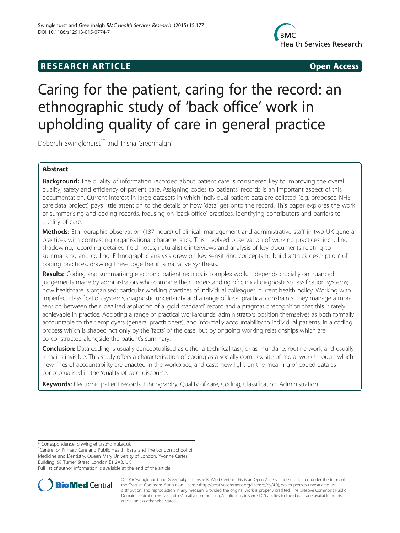

## **RESEARCH ARTICLE Example 2014 CONSIDERING CONSIDERING CONSIDERING CONSIDERING CONSIDERING CONSIDERING CONSIDERING CONSIDERING CONSIDERING CONSIDERING CONSIDERING CONSIDERING CONSIDERING CONSIDERING CONSIDERING CONSIDE**

# Caring for the patient, caring for the record: an ethnographic study of 'back office' work in upholding quality of care in general practice

Deborah Swinglehurst<sup>1\*</sup> and Trisha Greenhalgh<sup>2</sup>

## Abstract

Background: The quality of information recorded about patient care is considered key to improving the overall quality, safety and efficiency of patient care. Assigning codes to patients' records is an important aspect of this documentation. Current interest in large datasets in which individual patient data are collated (e.g. proposed NHS care.data project) pays little attention to the details of how 'data' get onto the record. This paper explores the work of summarising and coding records, focusing on 'back office' practices, identifying contributors and barriers to quality of care.

Methods: Ethnographic observation (187 hours) of clinical, management and administrative staff in two UK general practices with contrasting organisational characteristics. This involved observation of working practices, including shadowing, recording detailed field notes, naturalistic interviews and analysis of key documents relating to summarising and coding. Ethnographic analysis drew on key sensitizing concepts to build a 'thick description' of coding practices, drawing these together in a narrative synthesis.

Results: Coding and summarising electronic patient records is complex work. It depends crucially on nuanced judgements made by administrators who combine their understanding of: clinical diagnostics; classification systems; how healthcare is organised; particular working practices of individual colleagues; current health policy. Working with imperfect classification systems, diagnostic uncertainty and a range of local practical constraints, they manage a moral tension between their idealised aspiration of a 'gold standard' record and a pragmatic recognition that this is rarely achievable in practice. Adopting a range of practical workarounds, administrators position themselves as both formally accountable to their employers (general practitioners), and informally accountability to individual patients, in a coding process which is shaped not only by the 'facts' of the case, but by ongoing working relationships which are co-constructed alongside the patient's summary.

Conclusion: Data coding is usually conceptualised as either a technical task, or as mundane, routine work, and usually remains invisible. This study offers a characterisation of coding as a socially complex site of moral work through which new lines of accountability are enacted in the workplace, and casts new light on the meaning of coded data as conceptualised in the 'quality of care' discourse.

Keywords: Electronic patient records, Ethnography, Quality of care, Coding, Classification, Administration

\* Correspondence: [d.swinglehurst@qmul.ac.uk](mailto:d.swinglehurst@qmul.ac.uk) <sup>1</sup>

Full list of author information is available at the end of the article



© 2016 Swinglehurst and Greenhalgh; licensee BioMed Central. This is an Open Access article distributed under the terms of the Creative Commons Attribution License [\(http://creativecommons.org/licenses/by/4.0\)](http://creativecommons.org/licenses/by/4.0), which permits unrestricted use, distribution, and reproduction in any medium, provided the original work is properly credited. The Creative Commons Public Domain Dedication waiver [\(http://creativecommons.org/publicdomain/zero/1.0/\)](http://creativecommons.org/publicdomain/zero/1.0/) applies to the data made available in this article, unless otherwise stated.

<sup>&</sup>lt;sup>1</sup>Centre for Primary Care and Public Health, Barts and The London School of Medicine and Dentistry, Queen Mary University of London, Yvonne Carter Building, 58 Turner Street, London E1 2AB, UK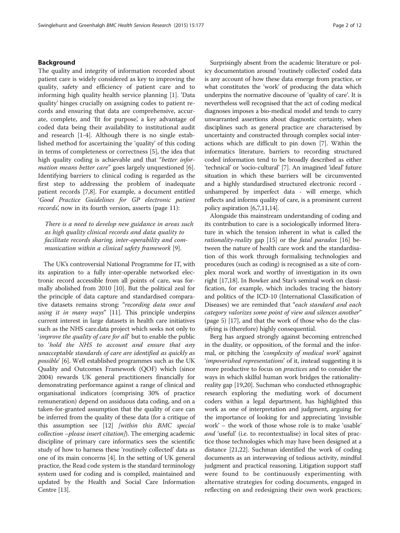## Background

The quality and integrity of information recorded about patient care is widely considered as key to improving the quality, safety and efficiency of patient care and to informing high quality health service planning [[1\]](#page-10-0). 'Data quality' hinges crucially on assigning codes to patient records and ensuring that data are comprehensive, accurate, complete, and 'fit for purpose', a key advantage of coded data being their availability to institutional audit and research [[1-4](#page-10-0)]. Although there is no single established method for ascertaining the 'quality' of this coding in terms of completeness or correctness [\[5](#page-10-0)], the idea that high quality coding is achievable and that "better infor-mation means better care" goes largely unquestioned [\[6](#page-10-0)]. Identifying barriers to clinical coding is regarded as the first step to addressing the problem of inadequate patient records [[7,8\]](#page-10-0). For example, a document entitled 'Good Practice Guidelines for GP electronic patient records', now in its fourth version, asserts (page 11):

There is a need to develop new guidance in areas such as high quality clinical records and data quality to facilitate records sharing, inter-operability and communication within a clinical safety framework [\[9](#page-10-0)].

The UK's controversial National Programme for IT, with its aspiration to a fully inter-operable networked electronic record accessible from all points of care, was formally abolished from 2010 [\[10](#page-11-0)]. But the political zeal for the principle of data capture and standardised comparative datasets remains strong: "recording data once and using it in many ways" [\[11](#page-11-0)]. This principle underpins current interest in large datasets in health care initiatives such as the NHS care.data project which seeks not only to 'improve the quality of care for all' but to enable the public to 'hold the NHS to account and ensure that any unacceptable standards of care are identified as quickly as possible' [\[6\]](#page-10-0). Well established programmes such as the UK Quality and Outcomes Framework (QOF) which (since 2004) rewards UK general practitioners financially for demonstrating performance against a range of clinical and organisational indicators (comprising 30% of practice remuneration) depend on assiduous data coding, and on a taken-for-granted assumption that the quality of care can be inferred from the quality of these data (for a critique of this assumption see [\[12\]](#page-11-0) [within this BMC special collection -please insert citation]). The emerging academic discipline of primary care informatics sees the scientific study of how to harness these 'routinely collected' data as one of its main concerns [[4](#page-10-0)]. In the setting of UK general practice, the Read code system is the standard terminology system used for coding and is compiled, maintained and updated by the Health and Social Care Information Centre [[13](#page-11-0)].

Surprisingly absent from the academic literature or policy documentation around 'routinely collected' coded data is any account of how these data emerge from practice, or what constitutes the 'work' of producing the data which underpins the normative discourse of 'quality of care'. It is nevertheless well recognised that the act of coding medical diagnoses imposes a bio-medical model and tends to carry unwarranted assertions about diagnostic certainty, when disciplines such as general practice are characterised by uncertainty and constructed through complex social interactions which are difficult to pin down [\[7](#page-10-0)]. Within the informatics literature, barriers to recording structured coded information tend to be broadly described as either 'technical' or 'socio-cultural' [\[7](#page-10-0)]. An imagined 'ideal' future situation in which these barriers will be circumvented and a highly standardised structured electronic record unhampered by imperfect data - will emerge, which reflects and informs quality of care, is a prominent current policy aspiration [[6,7](#page-10-0)[,11,14\]](#page-11-0).

Alongside this mainstream understanding of coding and its contribution to care is a sociologically informed literature in which the tension inherent in what is called the rationality-reality gap [\[15](#page-11-0)] or the fatal paradox [\[16\]](#page-11-0) between the nature of health care work and the standardisation of this work through formalising technologies and procedures (such as coding) is recognised as a site of complex moral work and worthy of investigation in its own right [[17,18\]](#page-11-0). In Bowker and Star's seminal work on classification, for example, which includes tracing the history and politics of the ICD-10 (International Classification of Diseases) we are reminded that "each standard and each category valorizes some point of view and silences another" (page 5) [\[17\]](#page-11-0), and that the work of those who do the classifying is (therefore) highly consequential.

Berg has argued strongly against becoming entrenched in the duality, or opposition, of the formal and the informal, or pitching the *'complexity of medical work'* against 'impoverished representations' of it, instead suggesting it is more productive to focus on *practices* and to consider the ways in which skilful human work bridges the rationalityreality gap [\[19,20](#page-11-0)]. Suchman who conducted ethnographic research exploring the mediating work of document coders within a legal department, has highlighted this work as one of interpretation and judgment, arguing for the importance of looking for and appreciating 'invisible work' – the work of those whose role is to make 'usable' and 'useful' (i.e. to recontextualise) in local sites of practice those technologies which may have been designed at a distance [[21,22\]](#page-11-0). Suchman identified the work of coding documents as an interweaving of tedious activity, mindful judgment and practical reasoning. Litigation support staff were found to be continuously experimenting with alternative strategies for coding documents, engaged in reflecting on and redesigning their own work practices;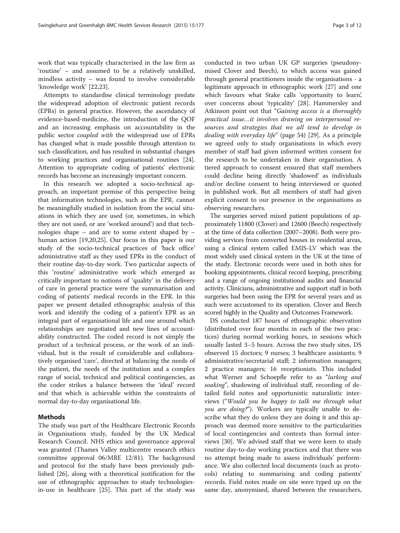work that was typically characterised in the law firm as 'routine' – and assumed to be a relatively unskilled, mindless activity – was found to involve considerable 'knowledge work' [\[22,23](#page-11-0)].

Attempts to standardise clinical terminology predate the widespread adoption of electronic patient records (EPRs) in general practice. However, the ascendancy of evidence-based-medicine, the introduction of the QOF and an increasing emphasis on accountability in the public sector coupled with the widespread use of EPRs has changed what is made possible through attention to such classification, and has resulted in substantial changes to working practices and organisational routines [[24](#page-11-0)]. Attention to appropriate coding of patients' electronic records has become an increasingly important concern.

In this research we adopted a socio-technical approach, an important premise of this perspective being that information technologies, such as the EPR, cannot be meaningfully studied in isolation from the social situations in which they are used (or, sometimes, in which they are not used, or are 'worked around') and that technologies shape – and are to some extent shaped by – human action [\[19,20,25\]](#page-11-0). Our focus in this paper is our study of the socio-technical practices of 'back office' administrative staff as they used EPRs in the conduct of their routine day-to-day work. Two particular aspects of this 'routine' administrative work which emerged as critically important to notions of 'quality' in the delivery of care in general practice were the summarisation and coding of patients' medical records in the EPR. In this paper we present detailed ethnographic analysis of this work and identify the coding of a patient's EPR as an integral part of organisational life and one around which relationships are negotiated and new lines of accountability constructed. The coded record is not simply the product of a technical process, or the work of an individual, but is the result of considerable and collaboratively organised 'care', directed at balancing the needs of the patient, the needs of the institution and a complex range of social, technical and political contingencies, as the coder strikes a balance between the 'ideal' record and that which is achievable within the constraints of normal day-to-day organisational life.

## Methods

The study was part of the Healthcare Electronic Records in Organisations study, funded by the UK Medical Research Council. NHS ethics and governance approval was granted (Thames Valley multicentre research ethics committee approval 06/MRE 12/81). The background and protocol for the study have been previously published [[26](#page-11-0)], along with a theoretical justification for the use of ethnographic approaches to study technologiesin-use in healthcare [[25\]](#page-11-0). This part of the study was

conducted in two urban UK GP surgeries (pseudonymised Clover and Beech), to which access was gained through general practitioners inside the organisations - a legitimate approach in ethnographic work [[27\]](#page-11-0) and one which favours what Stake calls 'opportunity to learn', over concerns about 'typicality' [[28](#page-11-0)]. Hammersley and Atkinson point out that "Gaining access is a thoroughly practical issue…it involves drawing on interpersonal resources and strategies that we all tend to develop in dealing with everyday life" (page 54) [\[29\]](#page-11-0). As a principle we agreed only to study organisations in which every member of staff had given informed written consent for the research to be undertaken in their organisation. A tiered approach to consent ensured that staff members could decline being directly 'shadowed' as individuals and/or decline consent to being interviewed or quoted in published work. But all members of staff had given explicit consent to our presence in the organisations as observing researchers.

The surgeries served mixed patient populations of approximately 11800 (Clover) and 12600 (Beech) respectively at the time of data collection (2007–2008). Both were providing services from converted houses in residential areas, using a clinical system called EMIS-LV which was the most widely used clinical system in the UK at the time of the study. Electronic records were used in both sites for booking appointments, clinical record keeping, prescribing and a range of ongoing institutional audits and financial activity. Clinicians, administrative and support staff in both surgeries had been using the EPR for several years and as such were accustomed to its operation. Clover and Beech scored highly in the Quality and Outcomes Framework.

DS conducted 187 hours of ethnographic observation (distributed over four months in each of the two practices) during normal working hours, in sessions which usually lasted 3–5 hours. Across the two study sites, DS observed 15 doctors; 9 nurses; 3 healthcare assistants; 9 administrative/secretarial staff; 2 information managers; 2 practice managers; 16 receptionists. This included what Werner and Schoepfle refer to as "lurking and soaking", shadowing of individual staff, recording of detailed field notes and opportunistic naturalistic interviews ("Would you be happy to talk me through what you are doing?"). Workers are typically unable to describe what they do unless they are doing it and this approach was deemed more sensitive to the particularities of local contingencies and contexts than formal interviews [[30](#page-11-0)]. We advised staff that we were keen to study routine day-to-day working practices and that there was no attempt being made to assess individuals' performance. We also collected local documents (such as protocols) relating to summarising and coding patients' records. Field notes made on site were typed up on the same day, anonymised, shared between the researchers,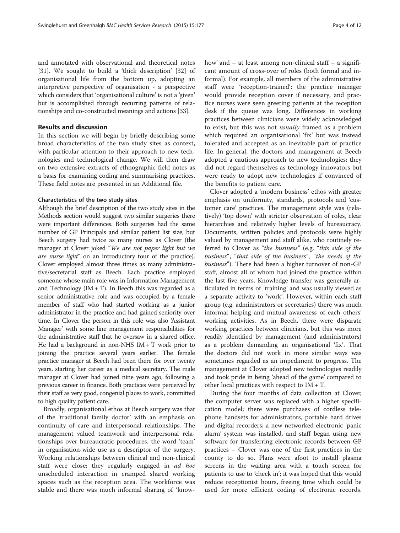and annotated with observational and theoretical notes [[31\]](#page-11-0). We sought to build a 'thick description' [\[32](#page-11-0)] of organisational life from the bottom up, adopting an interpretive perspective of organisation - a perspective which considers that 'organisational culture' is not a 'given' but is accomplished through recurring patterns of relationships and co-constructed meanings and actions [[33](#page-11-0)].

## Results and discussion

In this section we will begin by briefly describing some broad characteristics of the two study sites as context, with particular attention to their approach to new technologies and technological change. We will then draw on two extensive extracts of ethnographic field notes as a basis for examining coding and summarising practices. These field notes are presented in an Additional file.

#### Characteristics of the two study sites

Although the brief description of the two study sites in the Methods section would suggest two similar surgeries there were important differences. Both surgeries had the same number of GP Principals and similar patient list size, but Beech surgery had twice as many nurses as Clover (the manager at Clover joked "We are not paper light but we are nurse light" on an introductory tour of the practice). Clover employed almost three times as many administrative/secretarial staff as Beech. Each practice employed someone whose main role was in Information Management and Technology  $(IM + T)$ . In Beech this was regarded as a senior administrative role and was occupied by a female member of staff who had started working as a junior administrator in the practice and had gained seniority over time. In Clover the person in this role was also 'Assistant Manager' with some line management responsibilities for the administrative staff that he oversaw in a shared office. He had a background in non-NHS  $IM + T$  work prior to joining the practice several years earlier. The female practice manager at Beech had been there for over twenty years, starting her career as a medical secretary. The male manager at Clover had joined nine years ago, following a previous career in finance. Both practices were perceived by their staff as very good, congenial places to work, committed to high quality patient care.

Broadly, organisational ethos at Beech surgery was that of the 'traditional family doctor' with an emphasis on continuity of care and interpersonal relationships. The management valued teamwork and interpersonal relationships over bureaucratic procedures, the word 'team' in organisation-wide use as a descriptor of the surgery. Working relationships between clinical and non-clinical staff were close; they regularly engaged in *ad hoc* unscheduled interaction in cramped shared working spaces such as the reception area. The workforce was stable and there was much informal sharing of 'knowhow' and – at least among non-clinical staff – a significant amount of cross-over of roles (both formal and informal). For example, all members of the administrative staff were 'reception-trained'; the practice manager would provide reception cover if necessary, and practice nurses were seen greeting patients at the reception desk if the queue was long. Differences in working practices between clinicians were widely acknowledged to exist, but this was not usually framed as a problem which required an organisational 'fix' but was instead tolerated and accepted as an inevitable part of practice life. In general, the doctors and management at Beech adopted a cautious approach to new technologies; they did not regard themselves as technology innovators but were ready to adopt new technologies if convinced of the benefits to patient care.

Clover adopted a 'modern business' ethos with greater emphasis on uniformity, standards, protocols and 'customer care' practices. The management style was (relatively) 'top down' with stricter observation of roles, clear hierarchies and relatively higher levels of bureaucracy. Documents, written policies and protocols were highly valued by management and staff alike, who routinely referred to Clover as "the business" (e.g. "this side of the business", "that side of the business", "the needs of the business"). There had been a higher turnover of non-GP staff, almost all of whom had joined the practice within the last five years. Knowledge transfer was generally articulated in terms of 'training' and was usually viewed as a separate activity to 'work'. However, within each staff group (e.g. administrators or secretaries) there was much informal helping and mutual awareness of each others' working activities. As in Beech, there were disparate working practices between clinicians, but this was more readily identified by management (and administrators) as a problem demanding an organisational 'fix'. That the doctors did not work in more similar ways was sometimes regarded as an impediment to progress. The management at Clover adopted new technologies readily and took pride in being 'ahead of the game' compared to other local practices with respect to IM + T.

During the four months of data collection at Clover, the computer server was replaced with a higher specification model; there were purchases of cordless telephone handsets for administrators, portable hard drives and digital recorders; a new networked electronic 'panic alarm' system was installed, and staff began using new software for transferring electronic records between GP practices – Clover was one of the first practices in the county to do so. Plans were afoot to install plasma screens in the waiting area with a touch screen for patients to use to 'check in'; it was hoped that this would reduce receptionist hours, freeing time which could be used for more efficient coding of electronic records.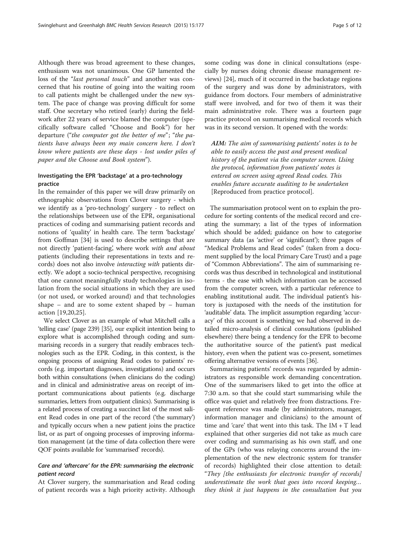Although there was broad agreement to these changes, enthusiasm was not unanimous. One GP lamented the loss of the "last personal touch" and another was concerned that his routine of going into the waiting room to call patients might be challenged under the new system. The pace of change was proving difficult for some staff. One secretary who retired (early) during the fieldwork after 22 years of service blamed the computer (specifically software called "Choose and Book") for her departure ("the computer got the better of me"; "the patients have always been my main concern here. I don't know where patients are these days - lost under piles of paper and the Choose and Book system").

## Investigating the EPR 'backstage' at a pro-technology practice

In the remainder of this paper we will draw primarily on ethnographic observations from Clover surgery - which we identify as a 'pro-technology' surgery - to reflect on the relationships between use of the EPR, organisational practices of coding and summarising patient records and notions of 'quality' in health care. The term 'backstage' from Goffman [[34](#page-11-0)] is used to describe settings that are not directly 'patient-facing', where work with and about patients (including their representations in texts and records) does not also involve interacting with patients directly. We adopt a socio-technical perspective, recognising that one cannot meaningfully study technologies in isolation from the social situations in which they are used (or not used, or worked around) and that technologies shape – and are to some extent shaped by – human action [\[19](#page-11-0),[20,25\]](#page-11-0).

We select Clover as an example of what Mitchell calls a 'telling case' (page 239) [\[35\]](#page-11-0), our explicit intention being to explore what is accomplished through coding and summarising records in a surgery that readily embraces technologies such as the EPR. Coding, in this context, is the ongoing process of assigning Read codes to patients' records (e.g. important diagnoses, investigations) and occurs both within consultations (when clinicians do the coding) and in clinical and administrative areas on receipt of important communications about patients (e.g. discharge summaries, letters from outpatient clinics). Summarising is a related process of creating a succinct list of the most salient Read codes in one part of the record ('the summary') and typically occurs when a new patient joins the practice list, or as part of ongoing processes of improving information management (at the time of data collection there were QOF points available for 'summarised' records).

## Care and 'aftercare' for the EPR: summarising the electronic patient record

At Clover surgery, the summarisation and Read coding of patient records was a high priority activity. Although

some coding was done in clinical consultations (especially by nurses doing chronic disease management reviews) [\[24\]](#page-11-0), much of it occurred in the backstage regions of the surgery and was done by administrators, with guidance from doctors. Four members of administrative staff were involved, and for two of them it was their main administrative role. There was a fourteen page practice protocol on summarising medical records which was in its second version. It opened with the words:

AIM: The aim of summarising patients' notes is to be able to easily access the past and present medical history of the patient via the computer screen. Using the protocol, information from patients' notes is entered on screen using agreed Read codes. This enables future accurate auditing to be undertaken [Reproduced from practice protocol].

The summarisation protocol went on to explain the procedure for sorting contents of the medical record and creating the summary; a list of the types of information which should be added; guidance on how to categorise summary data (as 'active' or 'significant'); three pages of "Medical Problems and Read codes" (taken from a document supplied by the local Primary Care Trust) and a page of "Common Abbreviations". The aim of summarising records was thus described in technological and institutional terms - the ease with which information can be accessed from the computer screen, with a particular reference to enabling institutional audit. The individual patient's history is juxtaposed with the needs of the institution for 'auditable' data. The implicit assumption regarding 'accuracy' of this account is something we had observed in detailed micro-analysis of clinical consultations (published elsewhere) there being a tendency for the EPR to become the authoritative source of the patient's past medical history, even when the patient was co-present, sometimes offering alternative versions of events [\[36\]](#page-11-0).

Summarising patients' records was regarded by administrators as responsible work demanding concentration. One of the summarisers liked to get into the office at 7:30 a.m. so that she could start summarising while the office was quiet and relatively free from distractions. Frequent reference was made (by administrators, manager, information manager and clinicians) to the amount of time and 'care' that went into this task. The  $IM + T$  lead explained that other surgeries did not take as much care over coding and summarising as his own staff, and one of the GPs (who was relaying concerns around the implementation of the new electronic system for transfer of records) highlighted their close attention to detail: "They [the enthusiasts for electronic transfer of records] underestimate the work that goes into record keeping… they think it just happens in the consultation but you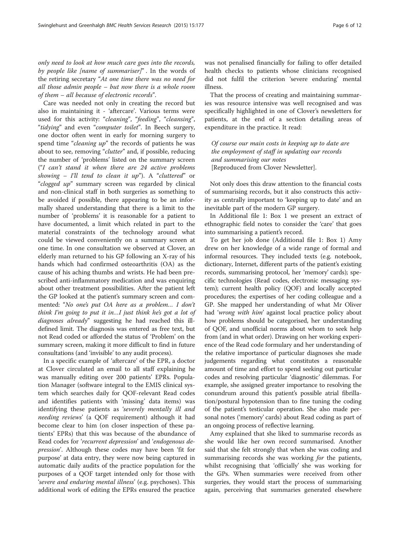only need to look at how much care goes into the records, by people like [name of summariser]" . In the words of the retiring secretary "At one time there was no need for all those admin people – but now there is a whole room of them – all because of electronic records".

Care was needed not only in creating the record but also in maintaining it - 'aftercare'. Various terms were used for this activity: "cleaning", "feeding", "cleansing", "tidying" and even "computer toilet". In Beech surgery, one doctor often went in early for morning surgery to spend time "*cleaning up*" the records of patients he was about to see, removing "clutter" and, if possible, reducing the number of 'problems' listed on the summary screen ("I can't stand it when there are 24 active problems showing  $-$  I'll tend to clean it up"). A "cluttered" or "clogged up" summary screen was regarded by clinical and non-clinical staff in both surgeries as something to be avoided if possible, there appearing to be an informally shared understanding that there is a limit to the number of 'problems' it is reasonable for a patient to have documented, a limit which related in part to the material constraints of the technology around what could be viewed conveniently on a summary screen at one time. In one consultation we observed at Clover, an elderly man returned to his GP following an X-ray of his hands which had confirmed osteoarthritis (OA) as the cause of his aching thumbs and wrists. He had been prescribed anti-inflammatory medication and was enquiring about other treatment possibilities. After the patient left the GP looked at the patient's summary screen and commented: "No one's put OA here as a problem… I don't think I'm going to put it in…I just think he's got a lot of diagnoses already" suggesting he had reached this illdefined limit. The diagnosis was entered as free text, but not Read coded or afforded the status of 'Problem' on the summary screen, making it more difficult to find in future consultations (and 'invisible' to any audit process).

In a specific example of 'aftercare' of the EPR, a doctor at Clover circulated an email to all staff explaining he was manually editing over 200 patients' EPRs. Population Manager (software integral to the EMIS clinical system which searches daily for QOF-relevant Read codes and identifies patients with 'missing' data items) was identifying these patients as 'severely mentally ill and needing reviews' (a QOF requirement) although it had become clear to him (on closer inspection of these patients' EPRs) that this was because of the abundance of Read codes for 'recurrent depression' and 'endogenous depression'. Although these codes may have been 'fit for purpose' at data entry, they were now being captured in automatic daily audits of the practice population for the purposes of a QOF target intended only for those with 'severe and enduring mental illness' (e.g. psychoses). This additional work of editing the EPRs ensured the practice

was not penalised financially for failing to offer detailed health checks to patients whose clinicians recognised did not fulfil the criterion 'severe enduring' mental illness.

That the process of creating and maintaining summaries was resource intensive was well recognised and was specifically highlighted in one of Clover's newsletters for patients, at the end of a section detailing areas of expenditure in the practice. It read:

Of course our main costs in keeping up to date are the employment of staff in updating our records and summarising our notes [Reproduced from Clover Newsletter].

Not only does this draw attention to the financial costs of summarising records, but it also constructs this activity as centrally important to 'keeping up to date' and an inevitable part of the modern GP surgery.

In Additional file [1:](#page-10-0) Box 1 we present an extract of ethnographic field notes to consider the 'care' that goes into summarising a patient's record.

To get her job done (Additional file [1](#page-10-0): Box 1) Amy drew on her knowledge of a wide range of formal and informal resources. They included texts (e.g. notebook, dictionary, Internet, different parts of the patient's existing records, summarising protocol, her 'memory' cards); specific technologies (Read codes, electronic messaging system); current health policy (QOF) and locally accepted procedures; the expertises of her coding colleague and a GP. She mapped her understanding of what Mr Oliver had 'wrong with him' against local practice policy about how problems should be categorised, her understanding of QOF, and unofficial norms about whom to seek help from (and in what order). Drawing on her working experience of the Read code formulary and her understanding of the relative importance of particular diagnoses she made judgements regarding what constitutes a reasonable amount of time and effort to spend seeking out particular codes and resolving particular 'diagnostic' dilemmas. For example, she assigned greater importance to resolving the conundrum around this patient's possible atrial fibrillation/postural hypotension than to fine tuning the coding of the patient's testicular operation. She also made personal notes ('memory' cards) about Read coding as part of an ongoing process of reflective learning.

Amy explained that she liked to summarise records as she would like her own record summarised. Another said that she felt strongly that when she was coding and summarising records she was working for the patients, whilst recognising that 'officially' she was working for the GPs. When summaries were received from other surgeries, they would start the process of summarising again, perceiving that summaries generated elsewhere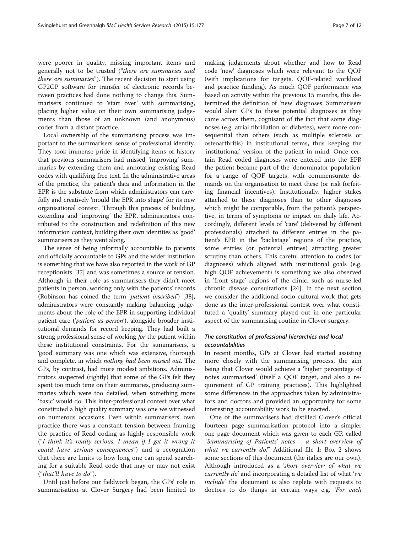were poorer in quality, missing important items and generally not to be trusted ("there are summaries and there are summaries"). The recent decision to start using GP2GP software for transfer of electronic records between practices had done nothing to change this. Summarisers continued to 'start over' with summarising, placing higher value on their own summarising judgements than those of an unknown (and anonymous) coder from a distant practice.

Local ownership of the summarising process was important to the summarisers' sense of professional identity. They took immense pride in identifying items of history that previous summarisers had missed, 'improving' summaries by extending them and annotating existing Read codes with qualifying free text. In the administrative areas of the practice, the patient's data and information in the EPR is the substrate from which administrators can carefully and creatively 'mould the EPR into shape' for its new organisational context. Through this process of building, extending and 'improving' the EPR, administrators contributed to the construction and redefinition of this new information context, building their own identities as 'good' summarisers as they went along.

The sense of being informally accountable to patients and officially accountable to GPs and the wider institution is something that we have also reported in the work of GP receptionists [[37](#page-11-0)] and was sometimes a source of tension. Although in their role as summarisers they didn't meet patients in person, working only with the patients' records (Robinson has coined the term 'patient inscribed') [[38](#page-11-0)], administrators were constantly making balancing judgements about the role of the EPR in supporting individual patient care ('patient as person'), alongside broader institutional demands for record keeping. They had built a strong professional sense of working for the patient within these institutional constraints. For the summarisers, a 'good' summary was one which was extensive, thorough and complete, in which nothing had been missed out. The GPs, by contrast, had more modest ambitions. Administrators suspected (rightly) that some of the GPs felt they spent too much time on their summaries, producing summaries which were too detailed, when something more 'basic' would do. This inter-professional contest over what constituted a high quality summary was one we witnessed on numerous occasions. Even within summarisers' own practice there was a constant tension between framing the practice of Read coding as highly responsible work ("I think it's really serious. I mean if I get it wrong it could have serious consequences") and a recognition that there are limits to how long one can spend searching for a suitable Read code that may or may not exist ("that'll have to do").

Until just before our fieldwork began, the GPs' role in summarisation at Clover Surgery had been limited to making judgements about whether and how to Read code 'new' diagnoses which were relevant to the QOF (with implications for targets, QOF-related workload and practice funding). As much QOF performance was based on activity within the previous 15 months, this determined the definition of 'new' diagnoses. Summarisers would alert GPs to these potential diagnoses as they came across them, cognisant of the fact that some diagnoses (e.g. atrial fibrillation or diabetes), were more consequential than others (such as multiple sclerosis or osteoarthritis) in institutional terms, thus keeping the 'institutional' version of the patient in mind. Once certain Read coded diagnoses were entered into the EPR the patient became part of the 'denominator population' for a range of QOF targets, with commensurate demands on the organisation to meet these (or risk forfeiting financial incentives). Institutionally, higher stakes attached to these diagnoses than to other diagnoses which might be comparable, from the patient's perspective, in terms of symptoms or impact on daily life. Accordingly, different levels of 'care' (delivered by different professionals) attached to different entries in the patient's EPR in the 'backstage' regions of the practice, some entries (or potential entries) attracting greater scrutiny than others. This careful attention to codes (or diagnoses) which aligned with institutional goals (e.g. high QOF achievement) is something we also observed in 'front stage' regions of the clinic, such as nurse-led chronic disease consultations [[24\]](#page-11-0). In the next section we consider the additional socio-cultural work that gets done as the inter-professional contest over what constituted a 'quality' summary played out in one particular aspect of the summarising routine in Clover surgery.

#### The constitution of professional hierarchies and local accountabilities

In recent months, GPs at Clover had started assisting more closely with the summarising process, the aim being that Clover would achieve a 'higher percentage of notes summarised' (itself a QOF target, and also a requirement of GP training practices). This highlighted some differences in the approaches taken by administrators and doctors and provided an opportunity for some interesting accountability work to be enacted.

One of the summarisers had distilled Clover's official fourteen page summarisation protocol into a simpler one page document which was given to each GP, called "Summarising of Patients' notes – a short overview of what we currently do!" Additional file  $1$ : Box  $2$  shows some sections of this document (the italics are our own). Although introduced as a 'short overview of what we currently do' and incorporating a detailed list of what 'we *include*' the document is also replete with requests to doctors to do things in certain ways e.g. 'For each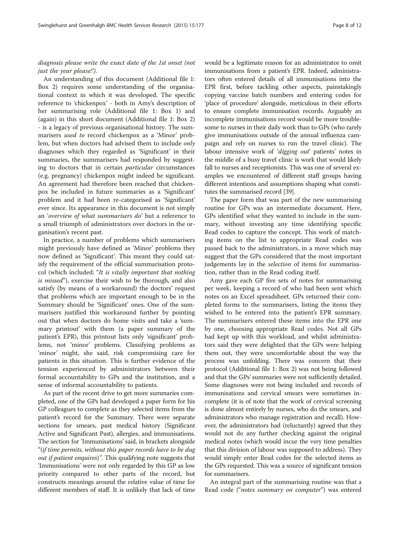## diagnosis please write the exact date of the 1st onset (not just the year please!').

An understanding of this document (Additional file [1](#page-10-0): Box 2) requires some understanding of the organisational context in which it was developed. The specific reference to 'chickenpox' - both in Amy's description of her summarising role (Additional file [1:](#page-10-0) Box 1) and (again) in this short document (Additional file [1:](#page-10-0) Box 2) - is a legacy of previous organisational history. The summarisers used to record chickenpox as a 'Minor' problem, but when doctors had advised them to include only diagnoses which they regarded as 'Significant' in their summaries, the summarisers had responded by suggesting to doctors that in certain particular circumstances (e.g. pregnancy) chickenpox might indeed be significant. An agreement had therefore been reached that chickenpox be included in future summaries as a 'Significant' problem and it had been re-categorised as 'Significant' ever since. Its appearance in this document is not simply an 'overview of what summarisers do' but a reference to a small triumph of administrators over doctors in the organisation's recent past.

In practice, a number of problems which summarisers might previously have defined as 'Minor' problems they now defined as 'Significant'. This meant they could satisfy the requirement of the official summarisation protocol (which included: "It is vitally important that nothing is missed"), exercise their wish to be thorough, and also satisfy (by means of a workaround) the doctors' request that problems which are important enough to be in the Summary should be 'Significant' ones. One of the summarisers justified this workaround further by pointing out that when doctors do home visits and take a 'summary printout' with them (a paper summary of the patient's EPR), this printout lists only 'significant' problems, not 'minor' problems. Classifying problems as 'minor' might, she said, risk compromising care for patients in this situation. This is further evidence of the tension experienced by administrators between their formal accountability to GPs and the institution, and a sense of informal accountability to patients.

As part of the recent drive to get more summaries completed, one of the GPs had developed a paper form for his GP colleagues to complete as they selected items from the patient's record for the Summary. There were separate sections for smears, past medical history (Significant Active and Significant Past), allergies, and immunisations. The section for 'Immunisations' said, in brackets alongside "(if time permits, without this paper records have to be dug out if patient enquires)". This qualifying note suggests that 'Immunisations' were not only regarded by this GP as low priority compared to other parts of the record, but constructs meanings around the relative value of time for different members of staff. It is unlikely that lack of time

would be a legitimate reason for an administrator to omit immunisations from a patient's EPR. Indeed, administrators often entered details of all immunisations into the EPR first, before tackling other aspects, painstakingly copying vaccine batch numbers and entering codes for 'place of procedure' alongside, meticulous in their efforts to ensure complete immunisation records. Arguably an incomplete immunisations record would be more troublesome to nurses in their daily work than to GPs (who rarely give immunisations outside of the annual influenza campaign and rely on nurses to run the travel clinic). The labour intensive work of 'digging out' patients' notes in the middle of a busy travel clinic is work that would likely fall to nurses and receptionists. This was one of several examples we encountered of different staff groups having different intentions and assumptions shaping what constitutes the summarised record [\[39\]](#page-11-0).

The paper form that was part of the new summarising routine for GPs was an intermediate document. Here, GPs identified what they wanted to include in the summary, without investing any time identifying specific Read codes to capture the concept. This work of matching items on the list to appropriate Read codes was passed back to the administrators, in a move which may suggest that the GPs considered that the most important judgements lay in the *selection* of items for summarisation, rather than in the Read coding itself.

Amy gave each GP five sets of notes for summarising per week, keeping a record of who had been sent which notes on an Excel spreadsheet. GPs returned their completed forms to the summarisers, listing the items they wished to be entered into the patient's EPR summary. The summarisers entered these items into the EPR one by one, choosing appropriate Read codes. Not all GPs had kept up with this workload, and whilst administrators said they were delighted that the GPs were helping them out, they were uncomfortable about the way the process was unfolding. There was concern that their protocol (Additional file [1](#page-10-0): Box 2) was not being followed and that the GPs' summaries were not sufficiently detailed. Some diagnoses were not being included and records of immunisations and cervical smears were sometimes incomplete (it is of note that the work of cervical screening is done almost entirely by nurses, who do the smears, and administrators who manage registration and recall). However, the administrators had (reluctantly) agreed that they would not do any further checking against the original medical notes (which would incur the very time penalties that this division of labour was supposed to address). They would simply enter Read codes for the selected items as the GPs requested. This was a source of significant tension for summarisers.

An integral part of the summarising routine was that a Read code ("notes summary on computer") was entered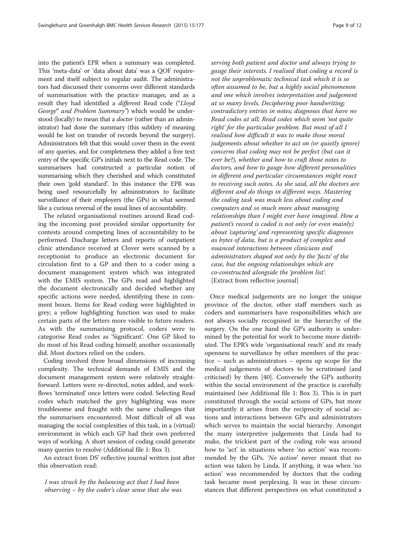into the patient's EPR when a summary was completed. This 'meta-data' or 'data about data' was a QOF requirement and itself subject to regular audit. The administrators had discussed their concerns over different standards of summarisation with the practice manager, and as a result they had identified a different Read code ("Lloyd George<sup>a</sup> and Problem Summary") which would be understood (locally) to mean that a *doctor* (rather than an administrator) had done the summary (this subtlety of meaning would be lost on transfer of records beyond the surgery). Administrators felt that this would cover them in the event of any queries, and for completeness they added a free text entry of the specific GP's initials next to the Read code. The summarisers had constructed a particular notion of summarising which they cherished and which constituted their own 'gold standard'. In this instance the EPR was being used resourcefully by administrators to facilitate surveillance of their employers (the GPs) in what seemed like a curious reversal of the usual lines of accountability.

The related organisational routines around Read coding the incoming post provided similar opportunity for contests around competing lines of accountability to be performed. Discharge letters and reports of outpatient clinic attendance received at Clover were scanned by a receptionist to produce an electronic document for circulation first to a GP and then to a coder using a document management system which was integrated with the EMIS system. The GPs read and highlighted the document electronically and decided whether any specific actions were needed, identifying these in comment boxes. Items for Read coding were highlighted in grey; a yellow highlighting function was used to make certain parts of the letters more visible to future readers. As with the summarising protocol, coders were to categorise Read codes as 'Significant'. One GP liked to do most of his Read coding himself; another occasionally did. Most doctors relied on the coders.

Coding involved three broad dimensions of increasing complexity. The technical demands of EMIS and the document management system were relatively straightforward. Letters were re-directed, notes added, and workflows 'terminated' once letters were coded. Selecting Read codes which matched the grey highlighting was more troublesome and fraught with the same challenges that the summarisers encountered. Most difficult of all was managing the social complexities of this task, in a (virtual) environment in which each GP had their own preferred ways of working. A short session of coding could generate many queries to resolve (Additional file [1](#page-10-0): Box 3).

An extract from DS' reflective journal written just after this observation read:

I was struck by the balancing act that I had been observing – by the coder's clear sense that she was serving both patient and doctor and always trying to gauge their interests. I realised that coding a record is not the unproblematic technical task which it is so often assumed to be, but a highly social phenomenon and one which involves interpretation and judgement at so many levels. Deciphering poor handwriting; contradictory entries in notes; diagnoses that have no Read codes at all; Read codes which seem 'not quite right' for the particular problem. But most of all I realised how difficult it was to make those moral judgements about whether to act on (or quietly ignore) concerns that coding may not be perfect (but can it ever be?), whether and how to craft those notes to doctors, and how to gauge how different personalities in different and particular circumstances might react to receiving such notes. As she said, all the doctors are different and do things in different ways. Mastering the coding task was much less about coding and computers and so much more about managing relationships than I might ever have imagined. How a patient's record is coded is not only (or even mainly) about 'capturing' and representing specific diagnoses as bytes of data, but is a product of complex and nuanced interactions between clinicians and administrators shaped not only by the 'facts' of the case, but the ongoing relationships which are co-constructed alongside the 'problem list'. [Extract from reflective journal]

Once medical judgements are no longer the unique province of the doctor, other staff members such as coders and summarisers have responsibilities which are not always socially recognised in the hierarchy of the surgery. On the one hand the GP's authority is undermined by the potential for work to become more distributed. The EPR's wide 'organisational reach' and its ready openness to surveillance by other members of the practice – such as administrators – opens up scope for the medical judgements of doctors to be scrutinised (and criticised) by them [\[40\]](#page-11-0). Conversely the GP's authority within the social environment of the practice is carefully maintained (see Additional file [1:](#page-10-0) Box 3). This is in part constituted through the social actions of GPs, but more importantly it arises from the reciprocity of social actions and interactions between GPs and administrators which serves to maintain the social hierarchy. Amongst the many interpretive judgements that Linda had to make, the trickiest part of the coding role was around how to 'act' in situations where 'no action' was recommended by the GPs. 'No action' never meant that no action was taken by Linda. If anything, it was when 'no action' was recommended by doctors that the coding task became most perplexing. It was in these circumstances that different perspectives on what constituted a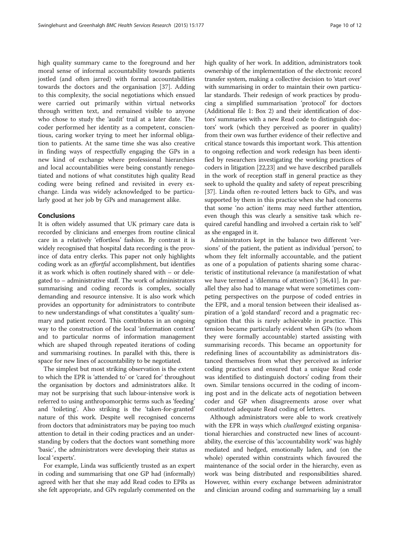high quality summary came to the foreground and her moral sense of informal accountability towards patients jostled (and often jarred) with formal accountabilities towards the doctors and the organisation [[37\]](#page-11-0). Adding to this complexity, the social negotiations which ensued were carried out primarily within virtual networks through written text, and remained visible to anyone who chose to study the 'audit' trail at a later date. The coder performed her identity as a competent, conscientious, caring worker trying to meet her informal obligation to patients. At the same time she was also creative in finding ways of respectfully engaging the GPs in a new kind of exchange where professional hierarchies and local accountabilities were being constantly renegotiated and notions of what constitutes high quality Read coding were being refined and revisited in every exchange. Linda was widely acknowledged to be particularly good at her job by GPs and management alike.

#### Conclusions

It is often widely assumed that UK primary care data is recorded by clinicians and emerges from routine clinical care in a relatively 'effortless' fashion. By contrast it is widely recognised that hospital data recording is the province of data entry clerks. This paper not only highlights coding work as an effortful accomplishment, but identifies it as work which is often routinely shared with – or delegated to – administrative staff. The work of administrators summarising and coding records is complex, socially demanding and resource intensive. It is also work which provides an opportunity for administrators to contribute to new understandings of what constitutes a 'quality' summary and patient record. This contributes in an ongoing way to the construction of the local 'information context' and to particular norms of information management which are shaped through repeated iterations of coding and summarising routines. In parallel with this, there is space for new lines of accountability to be negotiated.

The simplest but most striking observation is the extent to which the EPR is 'attended to' or 'cared for' throughout the organisation by doctors and administrators alike. It may not be surprising that such labour-intensive work is referred to using anthropomorphic terms such as 'feeding' and 'toileting'. Also striking is the 'taken-for-granted' nature of this work. Despite well recognised concerns from doctors that administrators may be paying too much attention to detail in their coding practices and an understanding by coders that the doctors want something more 'basic', the administrators were developing their status as local 'experts'.

For example, Linda was sufficiently trusted as an expert in coding and summarising that one GP had (informally) agreed with her that she may add Read codes to EPRs as she felt appropriate, and GPs regularly commented on the high quality of her work. In addition, administrators took ownership of the implementation of the electronic record transfer system, making a collective decision to 'start over' with summarising in order to maintain their own particular standards. Their redesign of work practices by producing a simplified summarisation 'protocol' for doctors (Additional file [1:](#page-10-0) Box 2) and their identification of doctors' summaries with a new Read code to distinguish doctors' work (which they perceived as poorer in quality) from their own was further evidence of their reflective and critical stance towards this important work. This attention to ongoing reflection and work redesign has been identified by researchers investigating the working practices of coders in litigation [\[22,23\]](#page-11-0) and we have described parallels in the work of reception staff in general practice as they seek to uphold the quality and safety of repeat prescribing [[37](#page-11-0)]. Linda often re-routed letters back to GPs, and was supported by them in this practice when she had concerns that some 'no action' items may need further attention, even though this was clearly a sensitive task which required careful handling and involved a certain risk to 'self' as she engaged in it.

Administrators kept in the balance two different 'versions' of the patient, the patient as individual 'person', to whom they felt informally accountable, and the patient as one of a population of patients sharing some characteristic of institutional relevance (a manifestation of what we have termed a 'dilemma of attention') [[36,41\]](#page-11-0). In parallel they also had to manage what were sometimes competing perspectives on the purpose of coded entries in the EPR, and a moral tension between their idealised aspiration of a 'gold standard' record and a pragmatic recognition that this is rarely achievable in practice. This tension became particularly evident when GPs (to whom they were formally accountable) started assisting with summarising records. This became an opportunity for redefining lines of accountability as administrators distanced themselves from what they perceived as inferior coding practices and ensured that a unique Read code was identified to distinguish doctors' coding from their own. Similar tensions occurred in the coding of incoming post and in the delicate acts of negotiation between coder and GP when disagreements arose over what constituted adequate Read coding of letters.

Although administrators were able to work creatively with the EPR in ways which *challenged* existing organisational hierarchies and constructed new lines of accountability, the exercise of this 'accountability work' was highly mediated and hedged, emotionally laden, and (on the whole) operated within constraints which favoured the maintenance of the social order in the hierarchy, even as work was being distributed and responsibilities shared. However, within every exchange between administrator and clinician around coding and summarising lay a small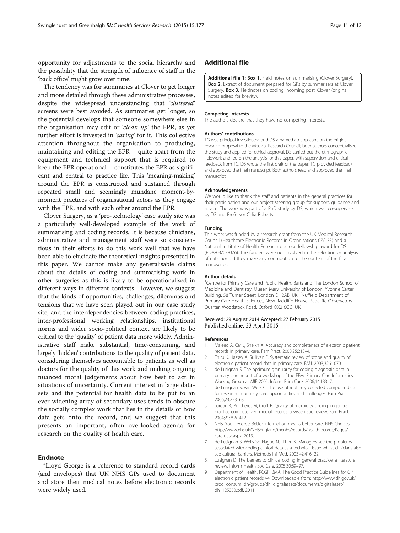<span id="page-10-0"></span>opportunity for adjustments to the social hierarchy and the possibility that the strength of influence of staff in the 'back office' might grow over time.

The tendency was for summaries at Clover to get longer and more detailed through these administrative processes, despite the widespread understanding that 'cluttered' screens were best avoided. As summaries get longer, so the potential develops that someone somewhere else in the organisation may edit or '*clean up*' the EPR, as yet further effort is invested in 'caring' for it. This collective attention throughout the organisation to producing, maintaining and editing the EPR – quite apart from the equipment and technical support that is required to keep the EPR operational – constitutes the EPR as significant and central to practice life. This 'meaning-making' around the EPR is constructed and sustained through repeated small and seemingly mundane moment-bymoment practices of organisational actors as they engage with the EPR, and with each other around the EPR.

Clover Surgery, as a 'pro-technology' case study site was a particularly well-developed example of the work of summarising and coding records. It is because clinicians, administrative and management staff were so conscientious in their efforts to do this work well that we have been able to elucidate the theoretical insights presented in this paper. We cannot make any generalisable claims about the details of coding and summarising work in other surgeries as this is likely to be operationalised in different ways in different contexts. However, we suggest that the kinds of opportunities, challenges, dilemmas and tensions that we have seen played out in our case study site, and the interdependencies between coding practices, inter-professional working relationships, institutional norms and wider socio-political context are likely to be critical to the 'quality' of patient data more widely. Administrative staff make substantial, time-consuming, and largely 'hidden' contributions to the quality of patient data, considering themselves accountable to patients as well as doctors for the quality of this work and making ongoing nuanced moral judgements about how best to act in situations of uncertainty. Current interest in large datasets and the potential for health data to be put to an ever widening array of secondary uses tends to obscure the socially complex work that lies in the details of how data gets onto the record, and we suggest that this presents an important, often overlooked agenda for research on the quality of health care.

## **Endnote**

Lloyd George is a reference to standard record cards (and envelopes) that UK NHS GPs used to document and store their medical notes before electronic records were widely used.

## Additional file

[Additional file 1:](http://www.biomedcentral.com/content/supplementary/s12913-015-0774-7-s1.docx) Box 1. Field notes on summarising (Clover Surgery). **Box 2.** Extract of document prepared for GPs by summarisers at Clover Surgery. Box 3. Fieldnotes on coding incoming post, Clover (original notes edited for brevity).

#### Competing interests

The authors declare that they have no competing interests.

#### Authors' contributions

TG was principal investigator, and DS a named co-applicant, on the original research proposal to the Medical Research Council; both authors conceptualised the study and applied for ethical approval. DS carried out the ethnographic fieldwork and led on the analysis for this paper, with supervision and critical feedback from TG. DS wrote the first draft of the paper; TG provided feedback and approved the final manuscript. Both authors read and approved the final manuscript.

#### Acknowledgements

We would like to thank the staff and patients in the general practices for their participation and our project steering group for support, guidance and advice. The work was part of a PhD study by DS, which was co-supervised by TG and Professor Celia Roberts.

#### Funding

This work was funded by a research grant from the UK Medical Research Council (Healthcare Electronic Records in Organisations 07/133) and a National Institute of Health Research doctoral fellowship award for DS (RDA/03/07/076). The funders were not involved in the selection or analysis of data nor did they make any contribution to the content of the final manuscript.

#### Author details

<sup>1</sup> Centre for Primary Care and Public Health, Barts and The London School of Medicine and Dentistry, Queen Mary University of London, Yvonne Carter Building, 58 Turner Street, London E1 2AB, UK.<sup>2</sup>Nuffield Department of Primary Care Health Sciences, New Radcliffe House, Radcliffe Observatory Quarter, Woodstock Road, Oxford OX2 6GG, UK.

#### Received: 29 August 2014 Accepted: 27 February 2015 Published online: 23 April 2015

#### References

- 1. Majeed A, Car J, Sheikh A. Accuracy and completeness of electronic patient records in primary care. Fam Pract. 2008;25:213–4.
- 2. Thiru K, Hassey A, Sullivan F. Systematic review of scope and quality of electronic patient record data in primary care. BMJ. 2003;326:1070.
- 3. de Lusignan S. The optimum granularity for coding diagnostic data in primary care: report of a workshop of the EFMI Primary Care Informatics Working Group at MIE 2005. Inform Prim Care. 2006;14:133–7.
- 4. de Lusignan S, van Weel C. The use of routinely collected computer data for research in primary care: opportunities and challenges. Fam Pract. 2006;23:253–63.
- 5. Jordan K, Porcheret M, Croft P. Quality of morbidity coding in general practice computerized medial records: a systematic review. Fam Pract. 2004;21:396–412.
- 6. NHS. Your records: Better information means better care. NHS Choices. [http://www.nhs.uk/NHSEngland/thenhs/records/healthrecords/Pages/](http://www.nhs.uk/NHSEngland/thenhs/records/healthrecords/Pages/care-data.aspx) [care-data.aspx.](http://www.nhs.uk/NHSEngland/thenhs/records/healthrecords/Pages/care-data.aspx) 2013.
- 7. de Lusignan S, Wells SE, Hague NJ, Thiru K. Managers see the problems associated with coding clinical data as a technical issue whilst clinicians also see cultural barriers. Methods Inf Med. 2003;42:416–22.
- 8. Lusignan D. The barriers to clinical coding in general practice: a literature review. Inform Health Soc Care. 2005;30:89–97.
- 9. Department of Health, RCGP, BMA: The Good Practice Guidelines for GP electronic patient records v4. Downloadable from: [http://www.dh.gov.uk/](http://www.dh.gov.uk/prod_consum_dh/groups/dh_digitalassets/documents/digitalasset/dh_125350.pdf) [prod\\_consum\\_dh/groups/dh\\_digitalassets/documents/digitalasset/](http://www.dh.gov.uk/prod_consum_dh/groups/dh_digitalassets/documents/digitalasset/dh_125350.pdf) [dh\\_125350.pdf](http://www.dh.gov.uk/prod_consum_dh/groups/dh_digitalassets/documents/digitalasset/dh_125350.pdf). 2011.